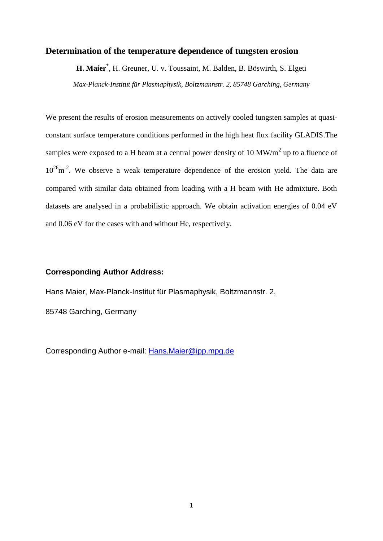## **Determination of the temperature dependence of tungsten erosion**

**H. Maier**\* , H. Greuner, U. v. Toussaint, M. Balden, B. Böswirth, S. Elgeti

*Max-Planck-Institut für Plasmaphysik, Boltzmannstr. 2, 85748 Garching, Germany*

We present the results of erosion measurements on actively cooled tungsten samples at quasiconstant surface temperature conditions performed in the high heat flux facility GLADIS.The samples were exposed to a H beam at a central power density of 10 MW/ $m^2$  up to a fluence of  $10^{26}$ m<sup>-2</sup>. We observe a weak temperature dependence of the erosion yield. The data are compared with similar data obtained from loading with a H beam with He admixture. Both datasets are analysed in a probabilistic approach. We obtain activation energies of 0.04 eV and 0.06 eV for the cases with and without He, respectively.

# **Corresponding Author Address:**

Hans Maier, Max-Planck-Institut für Plasmaphysik, Boltzmannstr. 2,

85748 Garching, Germany

Corresponding Author e-mail: [Hans.Maier@ipp.mpg.de](mailto:Hans.Maier@ipp.mpg.de)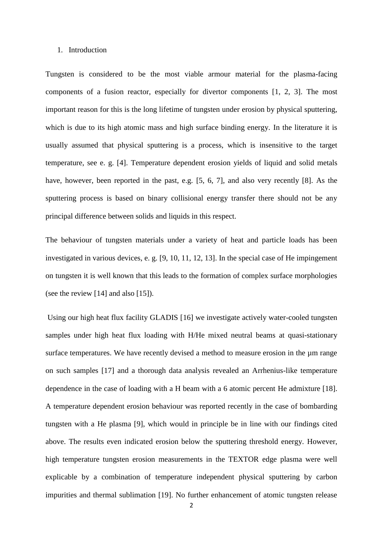## 1. Introduction

Tungsten is considered to be the most viable armour material for the plasma-facing components of a fusion reactor, especially for divertor components [1, 2, 3]. The most important reason for this is the long lifetime of tungsten under erosion by physical sputtering, which is due to its high atomic mass and high surface binding energy. In the literature it is usually assumed that physical sputtering is a process, which is insensitive to the target temperature, see e. g. [4]. Temperature dependent erosion yields of liquid and solid metals have, however, been reported in the past, e.g. [5, 6, 7], and also very recently [8]. As the sputtering process is based on binary collisional energy transfer there should not be any principal difference between solids and liquids in this respect.

<span id="page-1-4"></span><span id="page-1-0"></span>The behaviour of tungsten materials under a variety of heat and particle loads has been investigated in various devices, e. g. [9, 10, 11, 12, 13]. In the special case of He impingement on tungsten it is well known that this leads to the formation of complex surface morphologies (see the review [14] and also [15]).

<span id="page-1-3"></span><span id="page-1-2"></span><span id="page-1-1"></span>Using our high heat flux facility GLADIS [16] we investigate actively water-cooled tungsten samples under high heat flux loading with H/He mixed neutral beams at quasi-stationary surface temperatures. We have recently devised a method to measure erosion in the µm range on such samples [17] and a thorough data analysis revealed an Arrhenius-like temperature dependence in the case of loading with a H beam with a 6 atomic percent He admixture [18]. A temperature dependent erosion behaviour was reported recently in the case of bombarding tungsten with a He plasma [\[9\]](#page-1-0), which would in principle be in line with our findings cited above. The results even indicated erosion below the sputtering threshold energy. However, high temperature tungsten erosion measurements in the TEXTOR edge plasma were well explicable by a combination of temperature independent physical sputtering by carbon impurities and thermal sublimation [19]. No further enhancement of atomic tungsten release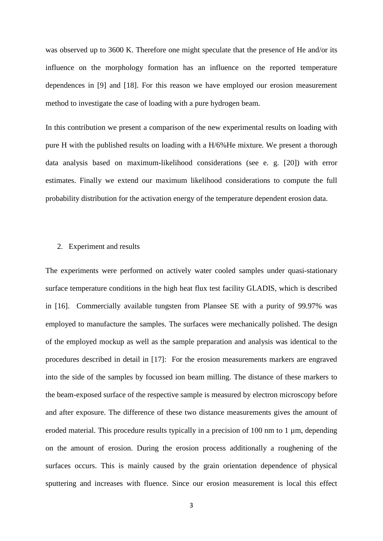was observed up to 3600 K. Therefore one might speculate that the presence of He and/or its influence on the morphology formation has an influence on the reported temperature dependences in [\[9\]](#page-1-0) and [\[18\]](#page-1-1). For this reason we have employed our erosion measurement method to investigate the case of loading with a pure hydrogen beam.

<span id="page-2-0"></span>In this contribution we present a comparison of the new experimental results on loading with pure H with the published results on loading with a H/6%He mixture. We present a thorough data analysis based on maximum-likelihood considerations (see e. g. [20]) with error estimates. Finally we extend our maximum likelihood considerations to compute the full probability distribution for the activation energy of the temperature dependent erosion data.

## 2. Experiment and results

The experiments were performed on actively water cooled samples under quasi-stationary surface temperature conditions in the high heat flux test facility GLADIS, which is described in [\[16\]](#page-1-2). Commercially available tungsten from Plansee SE with a purity of 99.97% was employed to manufacture the samples. The surfaces were mechanically polished. The design of the employed mockup as well as the sample preparation and analysis was identical to the procedures described in detail in [\[17\]](#page-1-3): For the erosion measurements markers are engraved into the side of the samples by focussed ion beam milling. The distance of these markers to the beam-exposed surface of the respective sample is measured by electron microscopy before and after exposure. The difference of these two distance measurements gives the amount of eroded material. This procedure results typically in a precision of 100 nm to 1 µm, depending on the amount of erosion. During the erosion process additionally a roughening of the surfaces occurs. This is mainly caused by the grain orientation dependence of physical sputtering and increases with fluence. Since our erosion measurement is local this effect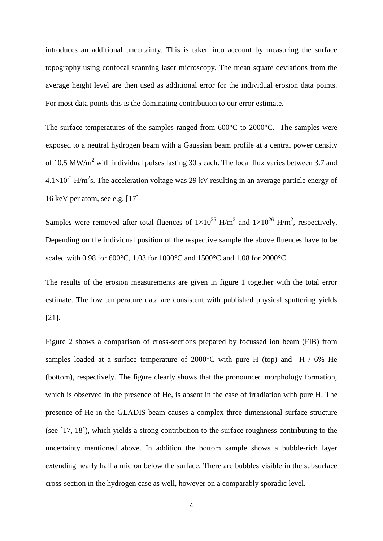introduces an additional uncertainty. This is taken into account by measuring the surface topography using confocal scanning laser microscopy. The mean square deviations from the average height level are then used as additional error for the individual erosion data points. For most data points this is the dominating contribution to our error estimate.

The surface temperatures of the samples ranged from 600°C to 2000°C. The samples were exposed to a neutral hydrogen beam with a Gaussian beam profile at a central power density of 10.5 MW/ $m^2$  with individual pulses lasting 30 s each. The local flux varies between 3.7 and  $4.1\times10^{21}$  H/m<sup>2</sup>s. The acceleration voltage was 29 kV resulting in an average particle energy of 16 keV per atom, see e.g. [\[17\]](#page-1-3)

Samples were removed after total fluences of  $1 \times 10^{25}$  H/m<sup>2</sup> and  $1 \times 10^{26}$  H/m<sup>2</sup>, respectively. Depending on the individual position of the respective sample the above fluences have to be scaled with 0.98 for 600°C, 1.03 for 1000°C and 1500°C and 1.08 for 2000°C.

The results of the erosion measurements are given in figure 1 together with the total error estimate. The low temperature data are consistent with published physical sputtering yields [21].

Figure 2 shows a comparison of cross-sections prepared by focussed ion beam (FIB) from samples loaded at a surface temperature of 2000 $^{\circ}$ C with pure H (top) and H / 6% He (bottom), respectively. The figure clearly shows that the pronounced morphology formation, which is observed in the presence of He, is absent in the case of irradiation with pure H. The presence of He in the GLADIS beam causes a complex three-dimensional surface structure (see [\[17,](#page-1-3) [18\]](#page-1-1)), which yields a strong contribution to the surface roughness contributing to the uncertainty mentioned above. In addition the bottom sample shows a bubble-rich layer extending nearly half a micron below the surface. There are bubbles visible in the subsurface cross-section in the hydrogen case as well, however on a comparably sporadic level.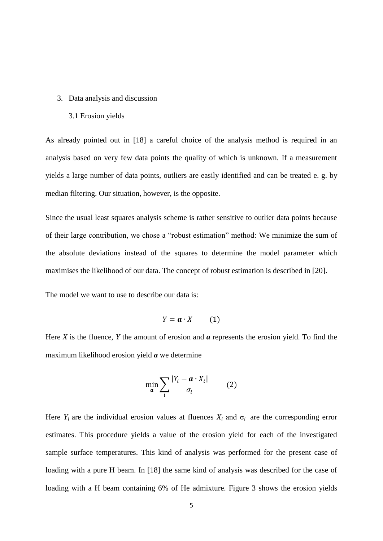#### 3. Data analysis and discussion

## 3.1 Erosion yields

As already pointed out in [\[18\]](#page-1-1) a careful choice of the analysis method is required in an analysis based on very few data points the quality of which is unknown. If a measurement yields a large number of data points, outliers are easily identified and can be treated e. g. by median filtering. Our situation, however, is the opposite.

Since the usual least squares analysis scheme is rather sensitive to outlier data points because of their large contribution, we chose a "robust estimation" method: We minimize the sum of the absolute deviations instead of the squares to determine the model parameter which maximises the likelihood of our data. The concept of robust estimation is described in [\[20\]](#page-2-0).

The model we want to use to describe our data is:

$$
Y = \boldsymbol{a} \cdot X \qquad (1)
$$

Here *X* is the fluence, *Y* the amount of erosion and *a* represents the erosion yield. To find the maximum likelihood erosion yield *a* we determine

$$
\min_{a} \sum_{i} \frac{|Y_i - a \cdot X_i|}{\sigma_i} \qquad (2)
$$

Here  $Y_i$  are the individual erosion values at fluences  $X_i$  and  $\sigma_i$  are the corresponding error estimates. This procedure yields a value of the erosion yield for each of the investigated sample surface temperatures. This kind of analysis was performed for the present case of loading with a pure H beam. In [\[18\]](#page-1-1) the same kind of analysis was described for the case of loading with a H beam containing 6% of He admixture. Figure 3 shows the erosion yields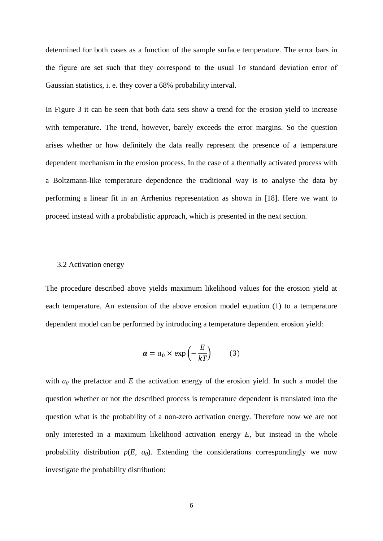determined for both cases as a function of the sample surface temperature. The error bars in the figure are set such that they correspond to the usual 1σ standard deviation error of Gaussian statistics, i. e. they cover a 68% probability interval.

In Figure 3 it can be seen that both data sets show a trend for the erosion yield to increase with temperature. The trend, however, barely exceeds the error margins. So the question arises whether or how definitely the data really represent the presence of a temperature dependent mechanism in the erosion process. In the case of a thermally activated process with a Boltzmann-like temperature dependence the traditional way is to analyse the data by performing a linear fit in an Arrhenius representation as shown in [\[18\]](#page-1-1). Here we want to proceed instead with a probabilistic approach, which is presented in the next section.

## 3.2 Activation energy

The procedure described above yields maximum likelihood values for the erosion yield at each temperature. An extension of the above erosion model equation (1) to a temperature dependent model can be performed by introducing a temperature dependent erosion yield:

$$
a = a_0 \times \exp\left(-\frac{E}{kT}\right) \tag{3}
$$

with  $a_0$  the prefactor and  $E$  the activation energy of the erosion yield. In such a model the question whether or not the described process is temperature dependent is translated into the question what is the probability of a non-zero activation energy. Therefore now we are not only interested in a maximum likelihood activation energy *E*, but instead in the whole probability distribution  $p(E, a_0)$ . Extending the considerations correspondingly we now investigate the probability distribution: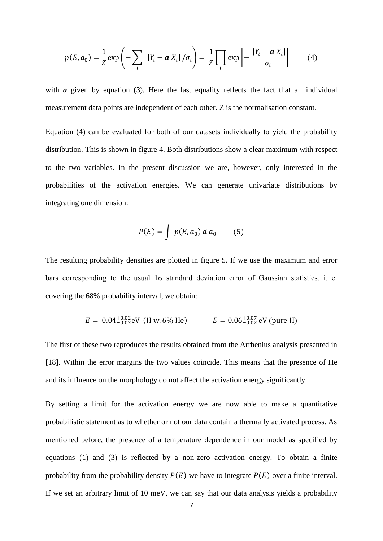$$
p(E, a_0) = \frac{1}{Z} \exp\left(-\sum_i |Y_i - a X_i| / \sigma_i\right) = \frac{1}{Z} \prod_i \exp\left[-\frac{|Y_i - a X_i|}{\sigma_i}\right] \tag{4}
$$

with *a* given by equation (3). Here the last equality reflects the fact that all individual measurement data points are independent of each other. Z is the normalisation constant.

Equation (4) can be evaluated for both of our datasets individually to yield the probability distribution. This is shown in figure 4. Both distributions show a clear maximum with respect to the two variables. In the present discussion we are, however, only interested in the probabilities of the activation energies. We can generate univariate distributions by integrating one dimension:

$$
P(E) = \int p(E, a_0) d a_0 \qquad (5)
$$

The resulting probability densities are plotted in figure 5. If we use the maximum and error bars corresponding to the usual 1σ standard deviation error of Gaussian statistics, i. e. covering the 68% probability interval, we obtain:

$$
E = 0.04^{+0.02}_{-0.02} \text{eV (H w. 6\% He)} \qquad E = 0.06^{+0.07}_{-0.02} \text{eV (pure H)}
$$

The first of these two reproduces the results obtained from the Arrhenius analysis presented in [\[18\]](#page-1-1). Within the error margins the two values coincide. This means that the presence of He and its influence on the morphology do not affect the activation energy significantly.

By setting a limit for the activation energy we are now able to make a quantitative probabilistic statement as to whether or not our data contain a thermally activated process. As mentioned before, the presence of a temperature dependence in our model as specified by equations (1) and (3) is reflected by a non-zero activation energy. To obtain a finite probability from the probability density  $P(E)$  we have to integrate  $P(E)$  over a finite interval. If we set an arbitrary limit of 10 meV, we can say that our data analysis yields a probability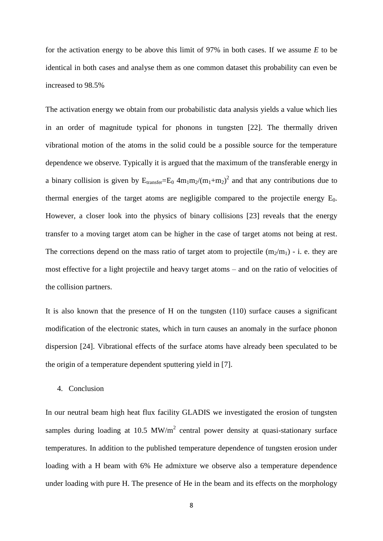for the activation energy to be above this limit of 97% in both cases. If we assume *E* to be identical in both cases and analyse them as one common dataset this probability can even be increased to 98.5%

The activation energy we obtain from our probabilistic data analysis yields a value which lies in an order of magnitude typical for phonons in tungsten [22]. The thermally driven vibrational motion of the atoms in the solid could be a possible source for the temperature dependence we observe. Typically it is argued that the maximum of the transferable energy in a binary collision is given by  $E_{transfer} = E_0 4m_1 m_2/(m_1 + m_2)^2$  and that any contributions due to thermal energies of the target atoms are negligible compared to the projectile energy  $E_0$ . However, a closer look into the physics of binary collisions [23] reveals that the energy transfer to a moving target atom can be higher in the case of target atoms not being at rest. The corrections depend on the mass ratio of target atom to projectile  $(m_2/m_1)$  - i. e. they are most effective for a light projectile and heavy target atoms – and on the ratio of velocities of the collision partners.

It is also known that the presence of H on the tungsten (110) surface causes a significant modification of the electronic states, which in turn causes an anomaly in the surface phonon dispersion [24]. Vibrational effects of the surface atoms have already been speculated to be the origin of a temperature dependent sputtering yield in [\[7\]](#page-1-4).

#### 4. Conclusion

In our neutral beam high heat flux facility GLADIS we investigated the erosion of tungsten samples during loading at 10.5 MW/ $m<sup>2</sup>$  central power density at quasi-stationary surface temperatures. In addition to the published temperature dependence of tungsten erosion under loading with a H beam with 6% He admixture we observe also a temperature dependence under loading with pure H. The presence of He in the beam and its effects on the morphology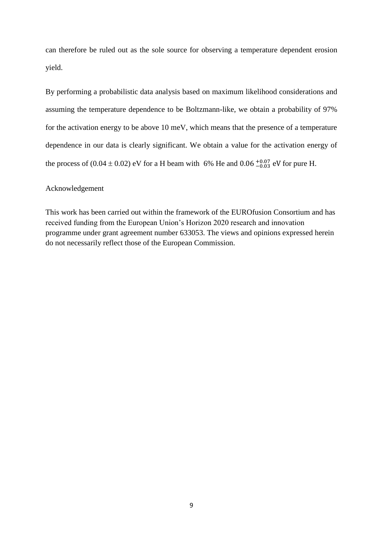can therefore be ruled out as the sole source for observing a temperature dependent erosion yield.

By performing a probabilistic data analysis based on maximum likelihood considerations and assuming the temperature dependence to be Boltzmann-like, we obtain a probability of 97% for the activation energy to be above 10 meV, which means that the presence of a temperature dependence in our data is clearly significant. We obtain a value for the activation energy of the process of  $(0.04 \pm 0.02)$  eV for a H beam with 6% He and  $0.06_{-0.03}^{+0.07}$  eV for pure H.

## Acknowledgement

This work has been carried out within the framework of the EUROfusion Consortium and has received funding from the European Union's Horizon 2020 research and innovation programme under grant agreement number 633053. The views and opinions expressed herein do not necessarily reflect those of the European Commission.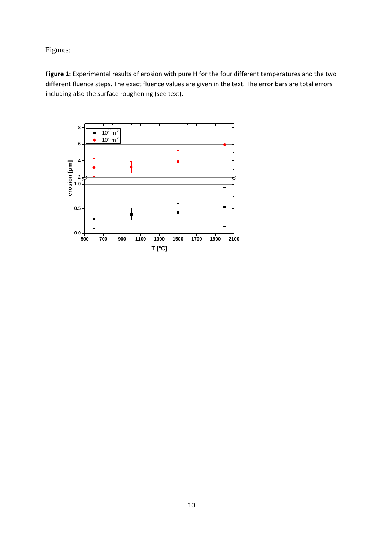Figures:

Figure 1: Experimental results of erosion with pure H for the four different temperatures and the two different fluence steps. The exact fluence values are given in the text. The error bars are total errors including also the surface roughening (see text).

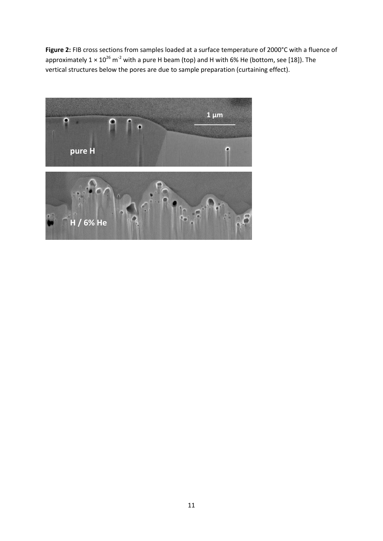**Figure 2:** FIB cross sections from samples loaded at a surface temperature of 2000°C with a fluence of approximately 1  $\times$  10<sup>26</sup> m<sup>-2</sup> with a pure H beam (top) and H with 6% He (bottom, see [18]). The vertical structures below the pores are due to sample preparation (curtaining effect).

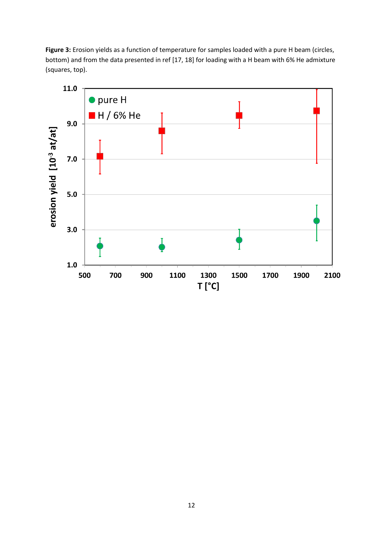**Figure 3:** Erosion yields as a function of temperature for samples loaded with a pure H beam (circles, bottom) and from the data presented in ref [17, 18] for loading with a H beam with 6% He admixture (squares, top).

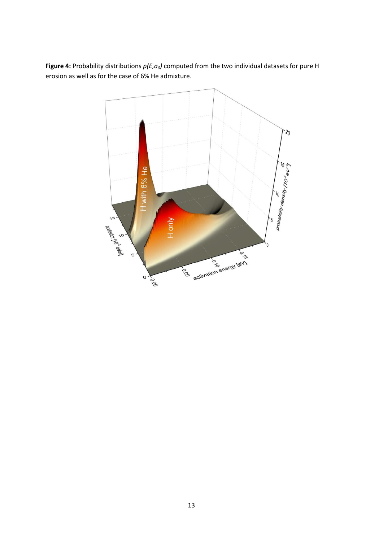**Figure 4:** Probability distributions *p(E,a0)* computed from the two individual datasets for pure H erosion as well as for the case of 6% He admixture.

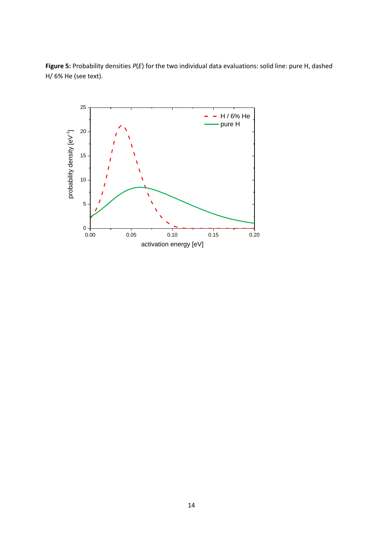**Figure 5:** Probability densities *P*(*E*) for the two individual data evaluations: solid line: pure H, dashed H/ 6% He (see text).